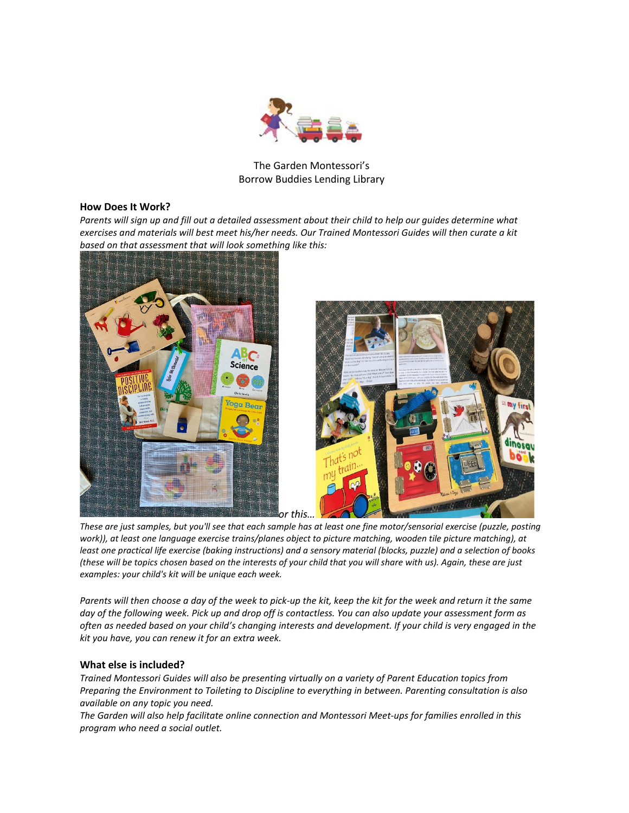

The Garden Montessori's Borrow Buddies Lending Library

## **How Does It Work?**

*Parents will sign up and fill out a detailed assessment about their child to help our guides determine what exercises and materials will best meet his/her needs. Our Trained Montessori Guides will then curate a kit based on that assessment that will look something like this:*



*These are just samples, but you'll see that each sample has at least one fine motor/sensorial exercise (puzzle, posting work)), at least one language exercise trains/planes object to picture matching, wooden tile picture matching), at least one practical life exercise (baking instructions) and a sensory material (blocks, puzzle) and a selection of books (these will be topics chosen based on the interests of your child that you will share with us). Again, these are just examples: your child's kit will be unique each week.*

*Parents will then choose a day of the week to pick-up the kit, keep the kit for the week and return it the same day of the following week. Pick up and drop off is contactless. You can also update your assessment form as often as needed based on your child's changing interests and development. If your child is very engaged in the kit you have, you can renew it for an extra week.*

## **What else is included?**

*Trained Montessori Guides will also be presenting virtually on a variety of Parent Education topics from Preparing the Environment to Toileting to Discipline to everything in between. Parenting consultation is also available on any topic you need.*

*The Garden will also help facilitate online connection and Montessori Meet-ups for families enrolled in this program who need a social outlet.*